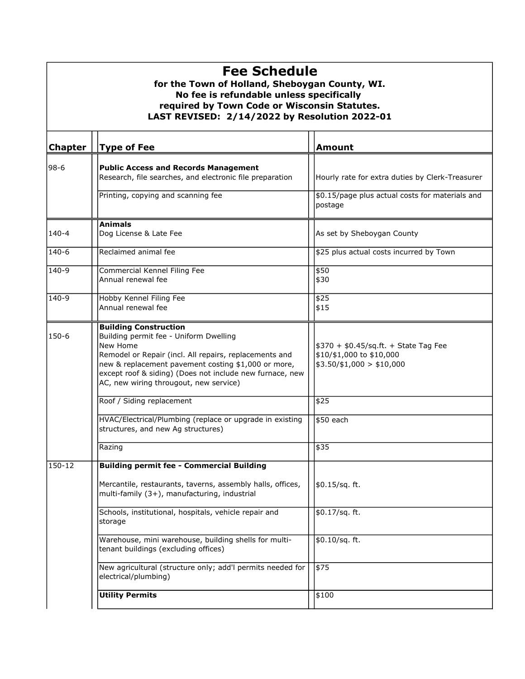| <b>Fee Schedule</b><br>for the Town of Holland, Sheboygan County, WI.<br>No fee is refundable unless specifically<br>required by Town Code or Wisconsin Statutes.<br>LAST REVISED: 2/14/2022 by Resolution 2022-01 |                                                                                                                                                                                                                                                                                                           |                                                                                                |  |  |
|--------------------------------------------------------------------------------------------------------------------------------------------------------------------------------------------------------------------|-----------------------------------------------------------------------------------------------------------------------------------------------------------------------------------------------------------------------------------------------------------------------------------------------------------|------------------------------------------------------------------------------------------------|--|--|
| <b>Chapter</b>                                                                                                                                                                                                     | <b>Type of Fee</b>                                                                                                                                                                                                                                                                                        | <b>Amount</b>                                                                                  |  |  |
| 98-6                                                                                                                                                                                                               | <b>Public Access and Records Management</b><br>Research, file searches, and electronic file preparation                                                                                                                                                                                                   | Hourly rate for extra duties by Clerk-Treasurer                                                |  |  |
|                                                                                                                                                                                                                    | Printing, copying and scanning fee                                                                                                                                                                                                                                                                        | \$0.15/page plus actual costs for materials and<br>postage                                     |  |  |
| $140 - 4$                                                                                                                                                                                                          | <b>Animals</b><br>Dog License & Late Fee                                                                                                                                                                                                                                                                  | As set by Sheboygan County                                                                     |  |  |
| 140-6                                                                                                                                                                                                              | Reclaimed animal fee                                                                                                                                                                                                                                                                                      | \$25 plus actual costs incurred by Town                                                        |  |  |
| 140-9                                                                                                                                                                                                              | Commercial Kennel Filing Fee<br>Annual renewal fee                                                                                                                                                                                                                                                        | \$50<br>\$30                                                                                   |  |  |
| 140-9                                                                                                                                                                                                              | Hobby Kennel Filing Fee<br>Annual renewal fee                                                                                                                                                                                                                                                             | \$25<br>\$15                                                                                   |  |  |
| 150-6                                                                                                                                                                                                              | <b>Building Construction</b><br>Building permit fee - Uniform Dwelling<br>New Home<br>Remodel or Repair (incl. All repairs, replacements and<br>new & replacement pavement costing \$1,000 or more,<br>except roof & siding) (Does not include new furnace, new<br>AC, new wiring througout, new service) | $$370 + $0.45/sq.ft. + State Tag Fee$<br>\$10/\$1,000 to \$10,000<br>$$3.50/\$1,000 > $10,000$ |  |  |
|                                                                                                                                                                                                                    | Roof / Siding replacement                                                                                                                                                                                                                                                                                 | \$25                                                                                           |  |  |
|                                                                                                                                                                                                                    | HVAC/Electrical/Plumbing (replace or upgrade in existing<br>structures, and new Ag structures)                                                                                                                                                                                                            | \$50 each                                                                                      |  |  |
|                                                                                                                                                                                                                    | Razing                                                                                                                                                                                                                                                                                                    | \$35                                                                                           |  |  |
| 150-12                                                                                                                                                                                                             | <b>Building permit fee - Commercial Building</b>                                                                                                                                                                                                                                                          |                                                                                                |  |  |
|                                                                                                                                                                                                                    | Mercantile, restaurants, taverns, assembly halls, offices,<br>multi-family (3+), manufacturing, industrial                                                                                                                                                                                                | \$0.15/sq. ft.                                                                                 |  |  |
|                                                                                                                                                                                                                    | Schools, institutional, hospitals, vehicle repair and<br>storage                                                                                                                                                                                                                                          | \$0.17/sq. ft.                                                                                 |  |  |
|                                                                                                                                                                                                                    | Warehouse, mini warehouse, building shells for multi-<br>tenant buildings (excluding offices)                                                                                                                                                                                                             | $$0.10/sq.$ ft.                                                                                |  |  |
|                                                                                                                                                                                                                    | New agricultural (structure only; add'l permits needed for<br>electrical/plumbing)                                                                                                                                                                                                                        | \$75                                                                                           |  |  |
|                                                                                                                                                                                                                    | <b>Utility Permits</b>                                                                                                                                                                                                                                                                                    | \$100                                                                                          |  |  |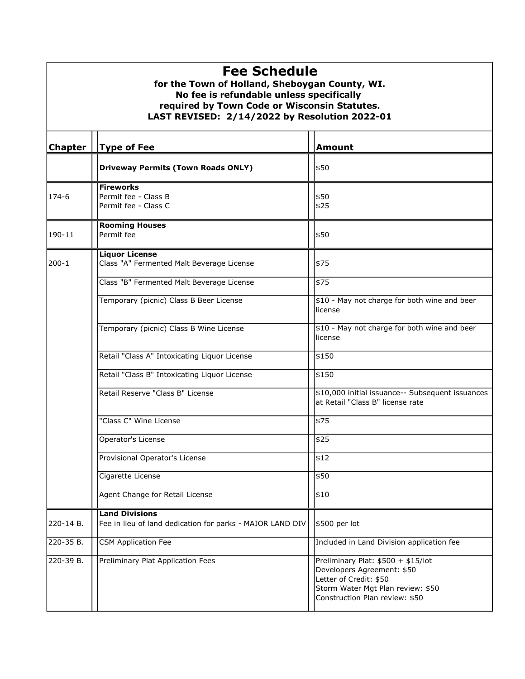| <b>Fee Schedule</b><br>for the Town of Holland, Sheboygan County, WI.<br>No fee is refundable unless specifically<br>required by Town Code or Wisconsin Statutes.<br>LAST REVISED: 2/14/2022 by Resolution 2022-01 |                                                                    |                                                                                                                                                                   |  |  |
|--------------------------------------------------------------------------------------------------------------------------------------------------------------------------------------------------------------------|--------------------------------------------------------------------|-------------------------------------------------------------------------------------------------------------------------------------------------------------------|--|--|
| <b>Chapter</b>                                                                                                                                                                                                     | <b>Type of Fee</b>                                                 | <b>Amount</b>                                                                                                                                                     |  |  |
|                                                                                                                                                                                                                    | <b>Driveway Permits (Town Roads ONLY)</b>                          | \$50                                                                                                                                                              |  |  |
| 174-6                                                                                                                                                                                                              | <b>Fireworks</b><br>Permit fee - Class B<br>Permit fee - Class C   | \$50<br>\$25                                                                                                                                                      |  |  |
| 190-11                                                                                                                                                                                                             | <b>Rooming Houses</b><br>Permit fee                                | \$50                                                                                                                                                              |  |  |
| 200-1                                                                                                                                                                                                              | <b>Liquor License</b><br>Class "A" Fermented Malt Beverage License | \$75                                                                                                                                                              |  |  |
|                                                                                                                                                                                                                    | Class "B" Fermented Malt Beverage License                          | \$75                                                                                                                                                              |  |  |
|                                                                                                                                                                                                                    | Temporary (picnic) Class B Beer License                            | \$10 - May not charge for both wine and beer<br>license                                                                                                           |  |  |
|                                                                                                                                                                                                                    | Temporary (picnic) Class B Wine License                            | \$10 - May not charge for both wine and beer<br>license                                                                                                           |  |  |
|                                                                                                                                                                                                                    | Retail "Class A" Intoxicating Liquor License                       | \$150                                                                                                                                                             |  |  |
|                                                                                                                                                                                                                    | Retail "Class B" Intoxicating Liquor License                       | \$150                                                                                                                                                             |  |  |
|                                                                                                                                                                                                                    | Retail Reserve "Class B" License                                   | \$10,000 initial issuance-- Subsequent issuances<br>at Retail "Class B" license rate                                                                              |  |  |
|                                                                                                                                                                                                                    | "Class C" Wine License                                             | \$75                                                                                                                                                              |  |  |
|                                                                                                                                                                                                                    | Operator's License                                                 | \$25                                                                                                                                                              |  |  |
|                                                                                                                                                                                                                    | Provisional Operator's License                                     | \$12                                                                                                                                                              |  |  |
|                                                                                                                                                                                                                    | Cigarette License                                                  | \$50                                                                                                                                                              |  |  |
|                                                                                                                                                                                                                    | Agent Change for Retail License                                    | \$10                                                                                                                                                              |  |  |
|                                                                                                                                                                                                                    | <b>Land Divisions</b>                                              |                                                                                                                                                                   |  |  |
| 220-14 B.                                                                                                                                                                                                          | Fee in lieu of land dedication for parks - MAJOR LAND DIV          | \$500 per lot                                                                                                                                                     |  |  |
| 220-35 B.                                                                                                                                                                                                          | <b>CSM Application Fee</b>                                         | Included in Land Division application fee                                                                                                                         |  |  |
| 220-39 B.                                                                                                                                                                                                          | Preliminary Plat Application Fees                                  | Preliminary Plat: \$500 + \$15/lot<br>Developers Agreement: \$50<br>Letter of Credit: \$50<br>Storm Water Mgt Plan review: \$50<br>Construction Plan review: \$50 |  |  |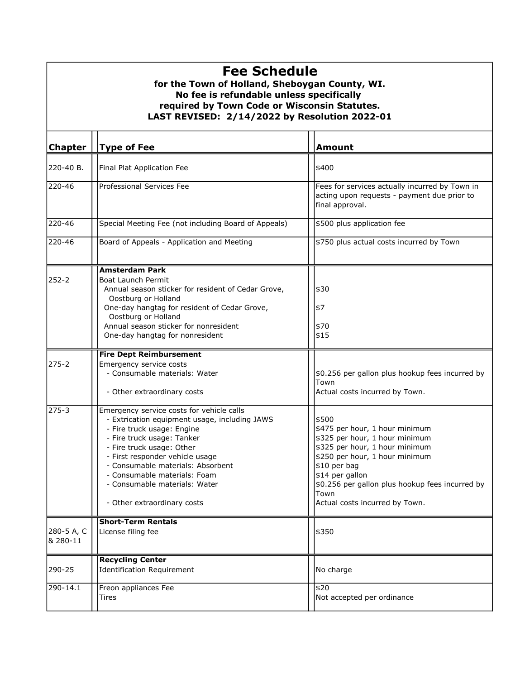## Fee Schedule

## for the Town of Holland, Sheboygan County, WI. LAST REVISED: 2/14/2022 by Resolution 2022-01 No fee is refundable unless specifically required by Town Code or Wisconsin Statutes.

| <b>Chapter</b>         | <b>Type of Fee</b>                                                                                                                                                                                                                                                                                                                                          | <b>Amount</b>                                                                                                                                                                                                                                                                 |
|------------------------|-------------------------------------------------------------------------------------------------------------------------------------------------------------------------------------------------------------------------------------------------------------------------------------------------------------------------------------------------------------|-------------------------------------------------------------------------------------------------------------------------------------------------------------------------------------------------------------------------------------------------------------------------------|
| 220-40 B.              | Final Plat Application Fee                                                                                                                                                                                                                                                                                                                                  | \$400                                                                                                                                                                                                                                                                         |
| 220-46                 | Professional Services Fee                                                                                                                                                                                                                                                                                                                                   | Fees for services actually incurred by Town in<br>acting upon requests - payment due prior to<br>final approval.                                                                                                                                                              |
| 220-46                 | Special Meeting Fee (not including Board of Appeals)                                                                                                                                                                                                                                                                                                        | \$500 plus application fee                                                                                                                                                                                                                                                    |
| 220-46                 | Board of Appeals - Application and Meeting                                                                                                                                                                                                                                                                                                                  | \$750 plus actual costs incurred by Town                                                                                                                                                                                                                                      |
| 252-2                  | <b>Amsterdam Park</b><br><b>Boat Launch Permit</b><br>Annual season sticker for resident of Cedar Grove,<br>Oostburg or Holland<br>One-day hangtag for resident of Cedar Grove,<br>Oostburg or Holland<br>Annual season sticker for nonresident<br>One-day hangtag for nonresident                                                                          | \$30<br>\$7<br>\$70<br>\$15                                                                                                                                                                                                                                                   |
| 275-2                  | <b>Fire Dept Reimbursement</b><br>Emergency service costs<br>- Consumable materials: Water<br>- Other extraordinary costs                                                                                                                                                                                                                                   | \$0.256 per gallon plus hookup fees incurred by<br>Town<br>Actual costs incurred by Town.                                                                                                                                                                                     |
| 275-3                  | Emergency service costs for vehicle calls<br>- Extrication equipment usage, including JAWS<br>- Fire truck usage: Engine<br>- Fire truck usage: Tanker<br>- Fire truck usage: Other<br>- First responder vehicle usage<br>- Consumable materials: Absorbent<br>- Consumable materials: Foam<br>- Consumable materials: Water<br>- Other extraordinary costs | \$500<br>\$475 per hour, 1 hour minimum<br>\$325 per hour, 1 hour minimum<br>\$325 per hour, 1 hour minimum<br>\$250 per hour, 1 hour minimum<br>\$10 per bag<br>\$14 per gallon<br>\$0.256 per gallon plus hookup fees incurred by<br>Town<br>Actual costs incurred by Town. |
| 280-5 A, C<br>8 280-11 | <b>Short-Term Rentals</b><br>License filing fee                                                                                                                                                                                                                                                                                                             | \$350                                                                                                                                                                                                                                                                         |
| 290-25                 | <b>Recycling Center</b><br><b>Identification Requirement</b>                                                                                                                                                                                                                                                                                                | No charge                                                                                                                                                                                                                                                                     |
| 290-14.1               | Freon appliances Fee<br>Tires                                                                                                                                                                                                                                                                                                                               | \$20<br>Not accepted per ordinance                                                                                                                                                                                                                                            |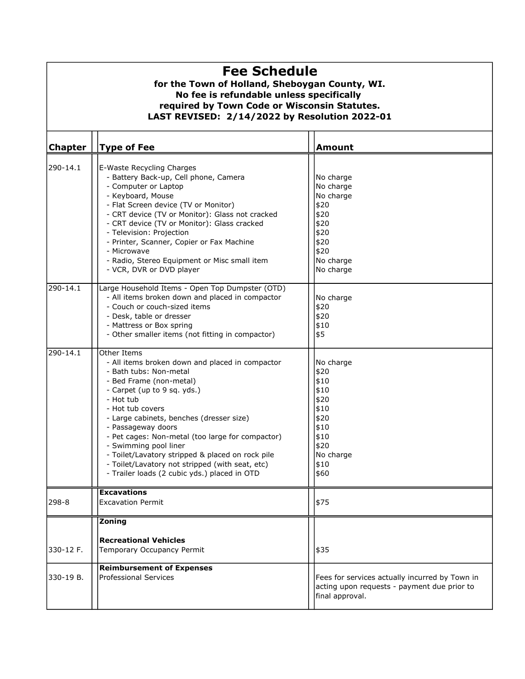| <b>Fee Schedule</b><br>for the Town of Holland, Sheboygan County, WI.<br>No fee is refundable unless specifically<br>required by Town Code or Wisconsin Statutes.<br>LAST REVISED: 2/14/2022 by Resolution 2022-01 |                                                                                                                                                                                                                                                                                                                                                                                                                                                                                           |                                                                                                                |  |  |
|--------------------------------------------------------------------------------------------------------------------------------------------------------------------------------------------------------------------|-------------------------------------------------------------------------------------------------------------------------------------------------------------------------------------------------------------------------------------------------------------------------------------------------------------------------------------------------------------------------------------------------------------------------------------------------------------------------------------------|----------------------------------------------------------------------------------------------------------------|--|--|
| <b>Chapter</b>                                                                                                                                                                                                     | <b>Type of Fee</b>                                                                                                                                                                                                                                                                                                                                                                                                                                                                        | <b>Amount</b>                                                                                                  |  |  |
| 290-14.1                                                                                                                                                                                                           | E-Waste Recycling Charges<br>- Battery Back-up, Cell phone, Camera<br>- Computer or Laptop<br>- Keyboard, Mouse<br>- Flat Screen device (TV or Monitor)<br>- CRT device (TV or Monitor): Glass not cracked<br>- CRT device (TV or Monitor): Glass cracked<br>- Television: Projection<br>- Printer, Scanner, Copier or Fax Machine<br>- Microwave<br>- Radio, Stereo Equipment or Misc small item<br>- VCR, DVR or DVD player                                                             | No charge<br>No charge<br>No charge<br>\$20<br>\$20<br>\$20<br>\$20<br>\$20<br>\$20<br>No charge<br>No charge  |  |  |
| 290-14.1                                                                                                                                                                                                           | Large Household Items - Open Top Dumpster (OTD)<br>- All items broken down and placed in compactor<br>- Couch or couch-sized items<br>- Desk, table or dresser<br>- Mattress or Box spring<br>- Other smaller items (not fitting in compactor)                                                                                                                                                                                                                                            | No charge<br>\$20<br>\$20<br>\$10<br>\$5                                                                       |  |  |
| 290-14.1                                                                                                                                                                                                           | Other Items<br>- All items broken down and placed in compactor<br>- Bath tubs: Non-metal<br>- Bed Frame (non-metal)<br>- Carpet (up to 9 sq. yds.)<br>- Hot tub<br>- Hot tub covers<br>- Large cabinets, benches (dresser size)<br>- Passageway doors<br>- Pet cages: Non-metal (too large for compactor)<br>- Swimming pool liner<br>- Toilet/Lavatory stripped & placed on rock pile<br>- Toilet/Lavatory not stripped (with seat, etc)<br>- Trailer loads (2 cubic yds.) placed in OTD | No charge<br>\$20<br>\$10<br>\$10<br>\$20<br>\$10<br>\$20<br>\$10<br>\$10<br>\$20<br>No charge<br>\$10<br>\$60 |  |  |
| 298-8                                                                                                                                                                                                              | <b>Excavations</b><br><b>Excavation Permit</b>                                                                                                                                                                                                                                                                                                                                                                                                                                            | \$75                                                                                                           |  |  |
| 330-12 F.<br>330-19 B.                                                                                                                                                                                             | Zoning<br><b>Recreational Vehicles</b><br>Temporary Occupancy Permit<br><b>Reimbursement of Expenses</b><br><b>Professional Services</b>                                                                                                                                                                                                                                                                                                                                                  | \$35<br>Fees for services actually incurred by Town in<br>acting upon requests - payment due prior to          |  |  |